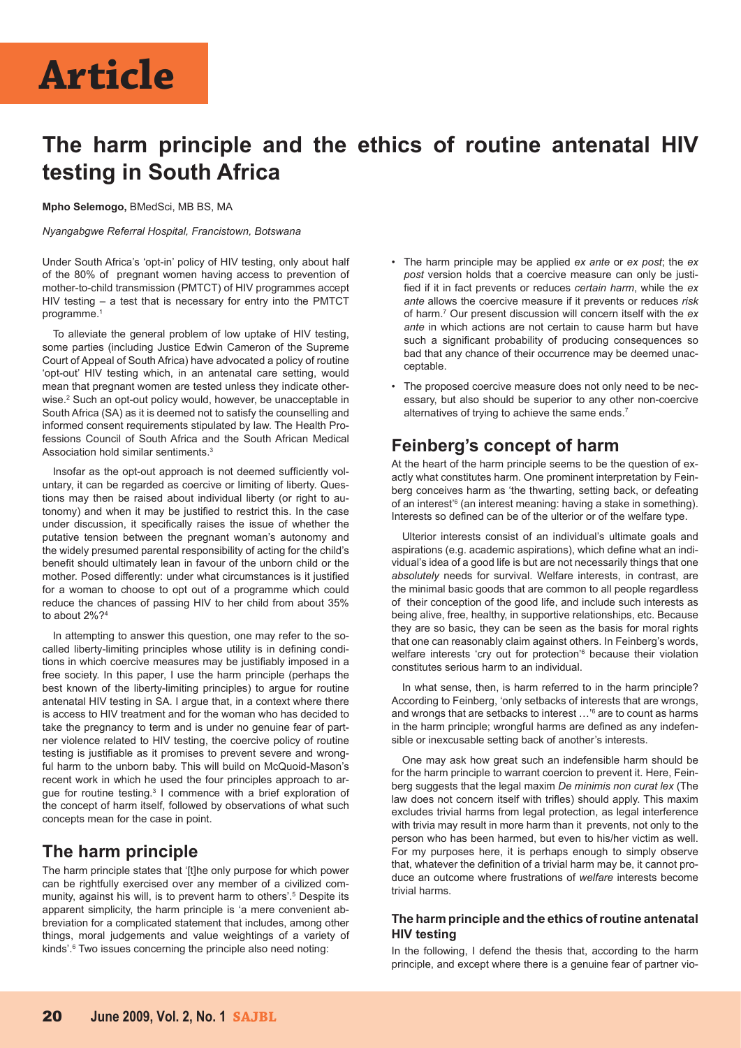## **The harm principle and the ethics of routine antenatal HIV testing in South Africa**

**Mpho Selemogo,** BMedSci, MB BS, MA

*Nyangabgwe Referral Hospital, Francistown, Botswana*

Under South Africa's 'opt-in' policy of HIV testing, only about half of the 80% of pregnant women having access to prevention of mother-to-child transmission (PMTCT) of HIV programmes accept HIV testing – a test that is necessary for entry into the PMTCT programme.<sup>1</sup>

To alleviate the general problem of low uptake of HIV testing, some parties (including Justice Edwin Cameron of the Supreme Court of Appeal of South Africa) have advocated a policy of routine 'opt-out' HIV testing which, in an antenatal care setting, would mean that pregnant women are tested unless they indicate otherwise.<sup>2</sup> Such an opt-out policy would, however, be unacceptable in South Africa (SA) as it is deemed not to satisfy the counselling and informed consent requirements stipulated by law. The Health Professions Council of South Africa and the South African Medical Association hold similar sentiments.<sup>3</sup>

Insofar as the opt-out approach is not deemed sufficiently voluntary, it can be regarded as coercive or limiting of liberty. Questions may then be raised about individual liberty (or right to autonomy) and when it may be justified to restrict this. In the case under discussion, it specifically raises the issue of whether the putative tension between the pregnant woman's autonomy and the widely presumed parental responsibility of acting for the child's benefit should ultimately lean in favour of the unborn child or the mother. Posed differently: under what circumstances is it justified for a woman to choose to opt out of a programme which could reduce the chances of passing HIV to her child from about 35% to about 2%?4

In attempting to answer this question, one may refer to the socalled liberty-limiting principles whose utility is in defining conditions in which coercive measures may be justifiably imposed in a free society. In this paper, I use the harm principle (perhaps the best known of the liberty-limiting principles) to argue for routine antenatal HIV testing in SA. I argue that, in a context where there is access to HIV treatment and for the woman who has decided to take the pregnancy to term and is under no genuine fear of partner violence related to HIV testing, the coercive policy of routine testing is justifiable as it promises to prevent severe and wrongful harm to the unborn baby. This will build on McQuoid-Mason's recent work in which he used the four principles approach to argue for routine testing.<sup>3</sup> I commence with a brief exploration of the concept of harm itself, followed by observations of what such concepts mean for the case in point.

## **The harm principle**

The harm principle states that '[t]he only purpose for which power can be rightfully exercised over any member of a civilized community, against his will, is to prevent harm to others'.<sup>5</sup> Despite its apparent simplicity, the harm principle is 'a mere convenient abbreviation for a complicated statement that includes, among other things, moral judgements and value weightings of a variety of kinds'.<sup>6</sup> Two issues concerning the principle also need noting:

- The harm principle may be applied *ex ante* or *ex post*; the *ex post* version holds that a coercive measure can only be justified if it in fact prevents or reduces *certain harm*, while the *ex ante* allows the coercive measure if it prevents or reduces *risk* of harm.7 Our present discussion will concern itself with the *ex ante* in which actions are not certain to cause harm but have such a significant probability of producing consequences so bad that any chance of their occurrence may be deemed unacceptable.
- The proposed coercive measure does not only need to be necessary, but also should be superior to any other non-coercive alternatives of trying to achieve the same ends.<sup>7</sup>

## **Feinberg's concept of harm**

At the heart of the harm principle seems to be the question of exactly what constitutes harm. One prominent interpretation by Feinberg conceives harm as 'the thwarting, setting back, or defeating of an interest<sup>'6</sup> (an interest meaning: having a stake in something). Interests so defined can be of the ulterior or of the welfare type.

Ulterior interests consist of an individual's ultimate goals and aspirations (e.g. academic aspirations), which define what an individual's idea of a good life is but are not necessarily things that one *absolutely* needs for survival. Welfare interests, in contrast, are the minimal basic goods that are common to all people regardless of their conception of the good life, and include such interests as being alive, free, healthy, in supportive relationships, etc. Because they are so basic, they can be seen as the basis for moral rights that one can reasonably claim against others. In Feinberg's words, welfare interests 'cry out for protection'<sup>6</sup> because their violation constitutes serious harm to an individual.

In what sense, then, is harm referred to in the harm principle? According to Feinberg, 'only setbacks of interests that are wrongs, and wrongs that are setbacks to interest …'6 are to count as harms in the harm principle; wrongful harms are defined as any indefensible or inexcusable setting back of another's interests.

One may ask how great such an indefensible harm should be for the harm principle to warrant coercion to prevent it. Here, Feinberg suggests that the legal maxim *De minimis non curat lex* (The law does not concern itself with trifles) should apply. This maxim excludes trivial harms from legal protection, as legal interference with trivia may result in more harm than it prevents, not only to the person who has been harmed, but even to his/her victim as well. For my purposes here, it is perhaps enough to simply observe that, whatever the definition of a trivial harm may be, it cannot produce an outcome where frustrations of *welfare* interests become trivial harms.

#### **The harm principle and the ethics of routine antenatal HIV testing**

In the following, I defend the thesis that, according to the harm principle, and except where there is a genuine fear of partner vio-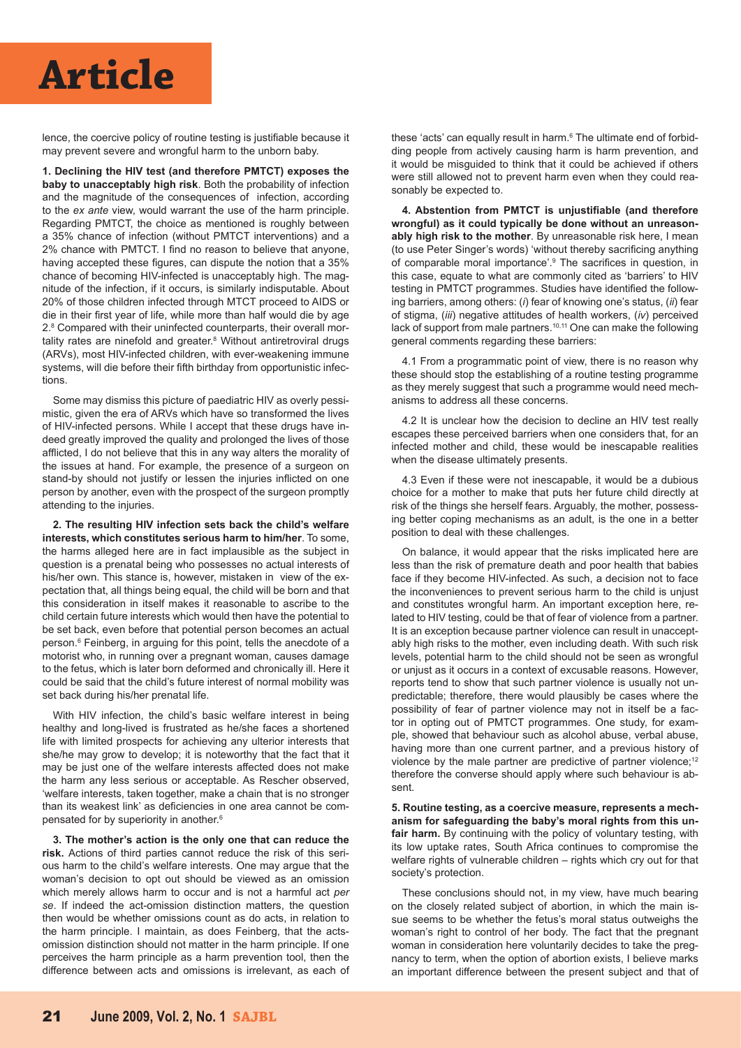# **Article**

lence, the coercive policy of routine testing is justifiable because it may prevent severe and wrongful harm to the unborn baby.

**1. Declining the HIV test (and therefore PMTCT) exposes the baby to unacceptably high risk**. Both the probability of infection and the magnitude of the consequences of infection, according to the *ex ante* view, would warrant the use of the harm principle. Regarding PMTCT, the choice as mentioned is roughly between a 35% chance of infection (without PMTCT interventions) and a 2% chance with PMTCT. I find no reason to believe that anyone, having accepted these figures, can dispute the notion that a 35% chance of becoming HIV-infected is unacceptably high. The magnitude of the infection, if it occurs, is similarly indisputable. About 20% of those children infected through MTCT proceed to AIDS or die in their first year of life, while more than half would die by age 2.8 Compared with their uninfected counterparts, their overall mortality rates are ninefold and greater.<sup>8</sup> Without antiretroviral drugs (ARVs), most HIV-infected children, with ever-weakening immune systems, will die before their fifth birthday from opportunistic infections.

Some may dismiss this picture of paediatric HIV as overly pessimistic, given the era of ARVs which have so transformed the lives of HIV-infected persons. While I accept that these drugs have indeed greatly improved the quality and prolonged the lives of those afflicted, I do not believe that this in any way alters the morality of the issues at hand. For example, the presence of a surgeon on stand-by should not justify or lessen the injuries inflicted on one person by another, even with the prospect of the surgeon promptly attending to the injuries.

**2. The resulting HIV infection sets back the child's welfare interests, which constitutes serious harm to him/her**. To some, the harms alleged here are in fact implausible as the subject in question is a prenatal being who possesses no actual interests of his/her own. This stance is, however, mistaken in view of the expectation that, all things being equal, the child will be born and that this consideration in itself makes it reasonable to ascribe to the child certain future interests which would then have the potential to be set back, even before that potential person becomes an actual person.6 Feinberg, in arguing for this point, tells the anecdote of a motorist who, in running over a pregnant woman, causes damage to the fetus, which is later born deformed and chronically ill. Here it could be said that the child's future interest of normal mobility was set back during his/her prenatal life.

With HIV infection, the child's basic welfare interest in being healthy and long-lived is frustrated as he/she faces a shortened life with limited prospects for achieving any ulterior interests that she/he may grow to develop; it is noteworthy that the fact that it may be just one of the welfare interests affected does not make the harm any less serious or acceptable. As Rescher observed, 'welfare interests, taken together, make a chain that is no stronger than its weakest link' as deficiencies in one area cannot be compensated for by superiority in another.6

**3. The mother's action is the only one that can reduce the risk.** Actions of third parties cannot reduce the risk of this serious harm to the child's welfare interests. One may argue that the woman's decision to opt out should be viewed as an omission which merely allows harm to occur and is not a harmful act *per se*. If indeed the act-omission distinction matters, the question then would be whether omissions count as do acts, in relation to the harm principle. I maintain, as does Feinberg, that the actsomission distinction should not matter in the harm principle. If one perceives the harm principle as a harm prevention tool, then the difference between acts and omissions is irrelevant, as each of

these 'acts' can equally result in harm.<sup>6</sup> The ultimate end of forbidding people from actively causing harm is harm prevention, and it would be misguided to think that it could be achieved if others were still allowed not to prevent harm even when they could reasonably be expected to.

**4. Abstention from PMTCT is unjustifiable (and therefore wrongful) as it could typically be done without an unreasonably high risk to the mother**. By unreasonable risk here, I mean (to use Peter Singer's words) 'without thereby sacrificing anything of comparable moral importance'.<sup>9</sup> The sacrifices in question, in this case, equate to what are commonly cited as 'barriers' to HIV testing in PMTCT programmes. Studies have identified the following barriers, among others: (*i*) fear of knowing one's status, (*ii*) fear of stigma, (*iii*) negative attitudes of health workers, (*iv*) perceived lack of support from male partners.<sup>10,11</sup> One can make the following general comments regarding these barriers:

4.1 From a programmatic point of view, there is no reason why these should stop the establishing of a routine testing programme as they merely suggest that such a programme would need mechanisms to address all these concerns.

4.2 It is unclear how the decision to decline an HIV test really escapes these perceived barriers when one considers that, for an infected mother and child, these would be inescapable realities when the disease ultimately presents.

4.3 Even if these were not inescapable, it would be a dubious choice for a mother to make that puts her future child directly at risk of the things she herself fears. Arguably, the mother, possessing better coping mechanisms as an adult, is the one in a better position to deal with these challenges.

On balance, it would appear that the risks implicated here are less than the risk of premature death and poor health that babies face if they become HIV-infected. As such, a decision not to face the inconveniences to prevent serious harm to the child is unjust and constitutes wrongful harm. An important exception here, related to HIV testing, could be that of fear of violence from a partner. It is an exception because partner violence can result in unacceptably high risks to the mother, even including death. With such risk levels, potential harm to the child should not be seen as wrongful or unjust as it occurs in a context of excusable reasons. However, reports tend to show that such partner violence is usually not unpredictable; therefore, there would plausibly be cases where the possibility of fear of partner violence may not in itself be a factor in opting out of PMTCT programmes. One study, for example, showed that behaviour such as alcohol abuse, verbal abuse, having more than one current partner, and a previous history of violence by the male partner are predictive of partner violence;<sup>12</sup> therefore the converse should apply where such behaviour is absent.

**5. Routine testing, as a coercive measure, represents a mechanism for safeguarding the baby's moral rights from this un**fair harm. By continuing with the policy of voluntary testing, with its low uptake rates, South Africa continues to compromise the welfare rights of vulnerable children – rights which cry out for that society's protection.

These conclusions should not, in my view, have much bearing on the closely related subject of abortion, in which the main issue seems to be whether the fetus's moral status outweighs the woman's right to control of her body. The fact that the pregnant woman in consideration here voluntarily decides to take the pregnancy to term, when the option of abortion exists, I believe marks an important difference between the present subject and that of